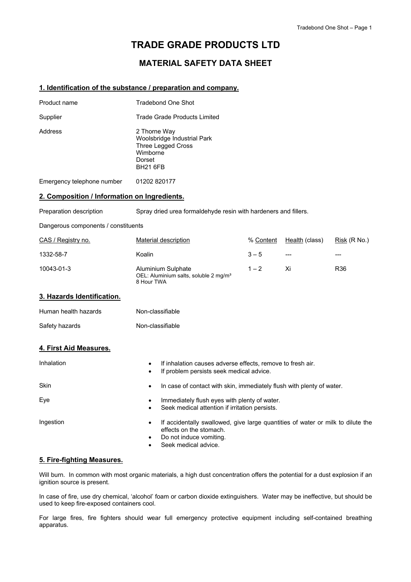# **TRADE GRADE PRODUCTS LTD**

# **MATERIAL SAFETY DATA SHEET**

### **1. Identification of the substance / preparation and company.**

| Product name               | Tradebond One Shot                                                                                                |
|----------------------------|-------------------------------------------------------------------------------------------------------------------|
| Supplier                   | Trade Grade Products Limited                                                                                      |
| Address                    | 2 Thorne Way<br>Woolsbridge Industrial Park<br><b>Three Legged Cross</b><br>Wimborne<br>Dorset<br><b>BH21 6FB</b> |
| Emergency telephone number | 01202 820177                                                                                                      |

### **2. Composition / Information on Ingredients.**

Preparation description Spray dried urea formaldehyde resin with hardeners and fillers.

Dangerous components / constituents

| CAS / Registry no. | Material description                                                                  | % Content | Health (class) | Risk (R No.)    |
|--------------------|---------------------------------------------------------------------------------------|-----------|----------------|-----------------|
| 1332-58-7          | Koalin                                                                                | $3 - 5$   | $---$          | ---             |
| 10043-01-3         | Aluminium Sulphate<br>OEL: Aluminium salts, soluble 2 mg/m <sup>3</sup><br>8 Hour TWA | $1 - 2$   | Xi             | R <sub>36</sub> |

#### **3. Hazards Identification.**

| Human health hazards | Non-classifiable |
|----------------------|------------------|
| Safety hazards       | Non-classifiable |

### **4. First Aid Measures.**

| Inhalation  | If inhalation causes adverse effects, remove to fresh air.<br>If problem persists seek medical advice.                                                        |
|-------------|---------------------------------------------------------------------------------------------------------------------------------------------------------------|
| <b>Skin</b> | In case of contact with skin, immediately flush with plenty of water.<br>$\bullet$                                                                            |
| Eye         | Immediately flush eyes with plenty of water.<br>Seek medical attention if irritation persists.                                                                |
| Ingestion   | If accidentally swallowed, give large quantities of water or milk to dilute the<br>effects on the stomach.<br>Do not induce vomiting.<br>Seek medical advice. |

#### **5. Fire-fighting Measures.**

Will burn. In common with most organic materials, a high dust concentration offers the potential for a dust explosion if an ignition source is present.

In case of fire, use dry chemical, 'alcohol' foam or carbon dioxide extinguishers. Water may be ineffective, but should be used to keep fire-exposed containers cool.

For large fires, fire fighters should wear full emergency protective equipment including self-contained breathing apparatus.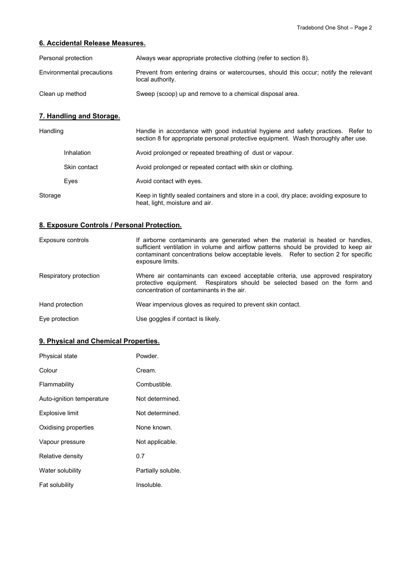### **6. Accidental Release Measures.**

| Personal protection       | Always wear appropriate protective clothing (refer to section 8).                                        |
|---------------------------|----------------------------------------------------------------------------------------------------------|
| Environmental precautions | Prevent from entering drains or watercourses, should this occur; notify the relevant<br>local authority. |
| Clean up method           | Sweep (scoop) up and remove to a chemical disposal area.                                                 |

# **7. Handling and Storage.**

| Handling |              | Handle in accordance with good industrial hygiene and safety practices. Refer to<br>section 8 for appropriate personal protective equipment. Wash thoroughly after use. |
|----------|--------------|-------------------------------------------------------------------------------------------------------------------------------------------------------------------------|
|          | Inhalation   | Avoid prolonged or repeated breathing of dust or vapour.                                                                                                                |
|          | Skin contact | Avoid prolonged or repeated contact with skin or clothing.                                                                                                              |
|          | Eves         | Avoid contact with eyes.                                                                                                                                                |
| Storage  |              | Keep in tightly sealed containers and store in a cool, dry place; avoiding exposure to<br>heat, light, moisture and air.                                                |

# **8. Exposure Controls / Personal Protection.**

| Exposure controls      | If airborne contaminants are generated when the material is heated or handles,<br>sufficient ventilation in volume and airflow patterns should be provided to keep air<br>contaminant concentrations below acceptable levels. Refer to section 2 for specific<br>exposure limits. |
|------------------------|-----------------------------------------------------------------------------------------------------------------------------------------------------------------------------------------------------------------------------------------------------------------------------------|
| Respiratory protection | Where air contaminants can exceed acceptable criteria, use approved respiratory<br>protective equipment. Respirators should be selected based on the form and<br>concentration of contaminants in the air.                                                                        |
| Hand protection        | Wear impervious gloves as required to prevent skin contact.                                                                                                                                                                                                                       |
| Eye protection         | Use goggles if contact is likely.                                                                                                                                                                                                                                                 |

## **9. Physical and Chemical Properties.**

| Physical state            | Powder.            |
|---------------------------|--------------------|
| Colour                    | Cream.             |
| Flammability              | Combustible.       |
| Auto-ignition temperature | Not determined.    |
| Explosive limit           | Not determined.    |
| Oxidising properties      | None known.        |
| Vapour pressure           | Not applicable.    |
| Relative density          | 0.7                |
| Water solubility          | Partially soluble. |
| Fat solubility            | Insoluble.         |